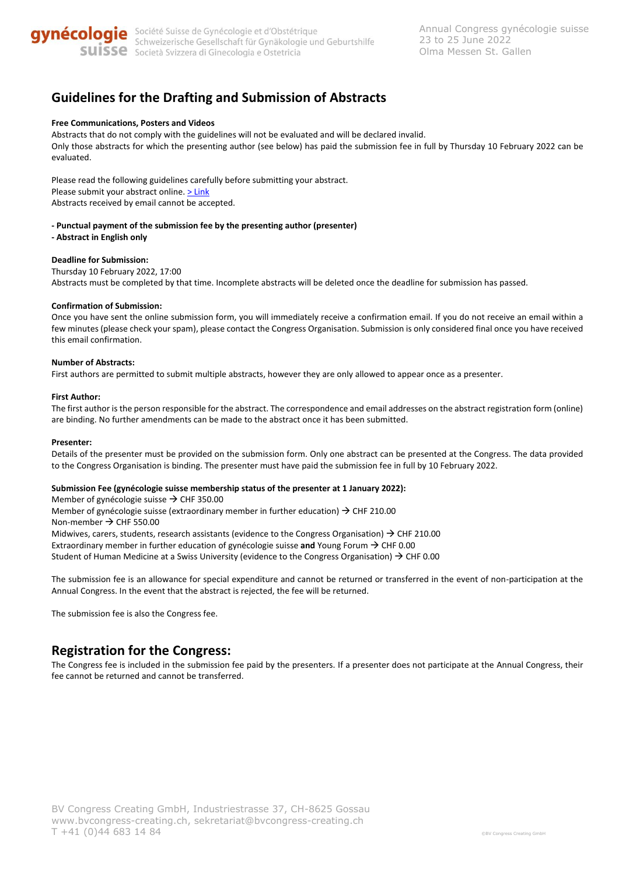

# **Guidelines for the Drafting and Submission of Abstracts**

## **Free Communications, Posters and Videos**

Abstracts that do not comply with the guidelines will not be evaluated and will be declared invalid. Only those abstracts for which the presenting author (see below) has paid the submission fee in full by Thursday 10 February 2022 can be evaluated.

Please read the following guidelines carefully before submitting your abstract. Please submit your abstract online[. > Link](http://sggg-kongress.ch/abstracts/submission) Abstracts received by email cannot be accepted.

- **- Punctual payment of the submission fee by the presenting author (presenter)**
- **- Abstract in English only**

#### **Deadline for Submission:**

Thursday 10 February 2022, 17:00 Abstracts must be completed by that time. Incomplete abstracts will be deleted once the deadline for submission has passed.

#### **Confirmation of Submission:**

Once you have sent the online submission form, you will immediately receive a confirmation email. If you do not receive an email within a few minutes (please check your spam), please contact the Congress Organisation. Submission is only considered final once you have received this email confirmation.

#### **Number of Abstracts:**

First authors are permitted to submit multiple abstracts, however they are only allowed to appear once as a presenter.

#### **First Author:**

The first author is the person responsible for the abstract. The correspondence and email addresses on the abstract registration form (online) are binding. No further amendments can be made to the abstract once it has been submitted.

#### **Presenter:**

Details of the presenter must be provided on the submission form. Only one abstract can be presented at the Congress. The data provided to the Congress Organisation is binding. The presenter must have paid the submission fee in full by 10 February 2022.

#### **Submission Fee (gynécologie suisse membership status of the presenter at 1 January 2022):**

Member of gynécologie suisse  $\rightarrow$  CHF 350.00 Member of gynécologie suisse (extraordinary member in further education)  $\rightarrow$  CHF 210.00 Non-member → CHF 550.00 Midwives, carers, students, research assistants (evidence to the Congress Organisation)  $\rightarrow$  CHF 210.00 Extraordinary member in further education of gynécologie suisse **and** Young Forum → CHF 0.00 Student of Human Medicine at a Swiss University (evidence to the Congress Organisation)  $\rightarrow$  CHF 0.00

The submission fee is an allowance for special expenditure and cannot be returned or transferred in the event of non-participation at the Annual Congress. In the event that the abstract is rejected, the fee will be returned.

The submission fee is also the Congress fee.

## **Registration for the Congress:**

The Congress fee is included in the submission fee paid by the presenters. If a presenter does not participate at the Annual Congress, their fee cannot be returned and cannot be transferred.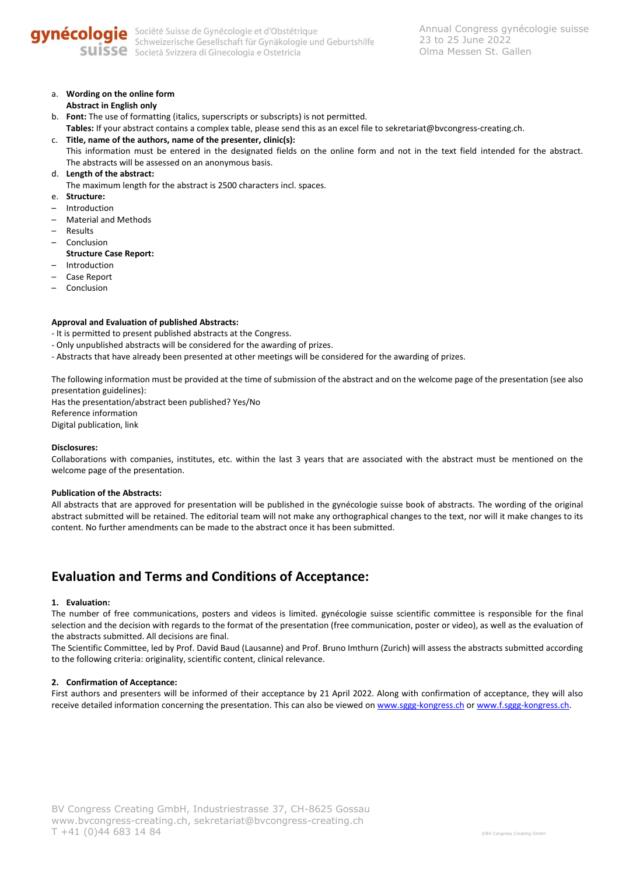

a. **Wording on the online form**

## **Abstract in English only**

- b. **Font:** The use of formatting (italics, superscripts or subscripts) is not permitted.
- **Tables:** If your abstract contains a complex table, please send this as an excel file to sekretariat@bvcongress-creating.ch.
- c. **Title, name of the authors, name of the presenter, clinic(s):** This information must be entered in the designated fields on the online form and not in the text field intended for the abstract. The abstracts will be assessed on an anonymous basis.
- d. **Length of the abstract:**

The maximum length for the abstract is 2500 characters incl. spaces.

- e. **Structure:**
- Introduction
- Material and Methods
- Results
- Conclusion
- **Structure Case Report:**
- Introduction
- Case Report
- Conclusion

## **Approval and Evaluation of published Abstracts:**

- It is permitted to present published abstracts at the Congress.
- Only unpublished abstracts will be considered for the awarding of prizes.
- Abstracts that have already been presented at other meetings will be considered for the awarding of prizes.

The following information must be provided at the time of submission of the abstract and on the welcome page of the presentation (see also presentation guidelines):

Has the presentation/abstract been published? Yes/No Reference information Digital publication, link

### **Disclosures:**

Collaborations with companies, institutes, etc. within the last 3 years that are associated with the abstract must be mentioned on the welcome page of the presentation.

### **Publication of the Abstracts:**

All abstracts that are approved for presentation will be published in the gynécologie suisse book of abstracts. The wording of the original abstract submitted will be retained. The editorial team will not make any orthographical changes to the text, nor will it make changes to its content. No further amendments can be made to the abstract once it has been submitted.

## **Evaluation and Terms and Conditions of Acceptance:**

### **1. Evaluation:**

The number of free communications, posters and videos is limited. gynécologie suisse scientific committee is responsible for the final selection and the decision with regards to the format of the presentation (free communication, poster or video), as well as the evaluation of the abstracts submitted. All decisions are final.

The Scientific Committee, led by Prof. David Baud (Lausanne) and Prof. Bruno Imthurn (Zurich) will assess the abstracts submitted according to the following criteria: originality, scientific content, clinical relevance.

### **2. Confirmation of Acceptance:**

First authors and presenters will be informed of their acceptance by 21 April 2022. Along with confirmation of acceptance, they will also receive detailed information concerning the presentation. This can also be viewed on [www.sggg-kongress.ch](http://www.sggg-kongress.ch/) or www.f.sggg-kongress.ch.